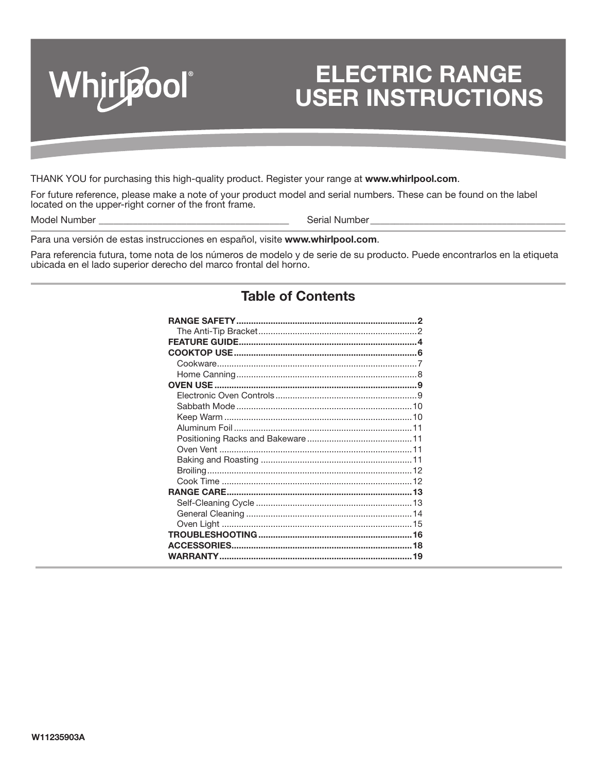

### **ELECTRIC RANGE USER INSTRUCTIONS**<br>INSTRUCTIONS **ELECTRIC RANGE USER INSTRUCTIONS**

THANK YOU for purchasing this high-quality product. Register your range at **www.whirlpool.com**.

For future reference, please make a note of your product model and serial numbers. These can be found on the label located on the upper-right corner of the front frame.

Model Number \_\_\_\_\_\_\_\_\_\_\_\_\_\_\_\_\_\_\_\_\_\_\_\_\_\_\_\_\_\_\_\_\_\_\_\_\_\_\_ Serial Number \_\_\_\_\_\_\_\_\_\_\_\_\_\_\_\_\_\_\_\_\_\_\_\_\_\_\_\_\_\_\_\_\_\_\_\_\_\_\_\_

Para una versión de estas instrucciones en español, visite **www.whirlpool.com**.

Para referencia futura, tome nota de los números de modelo y de serie de su producto. Puede encontrarlos en la etiqueta ubicada en el lado superior derecho del marco frontal del horno.

### **Table of Contents**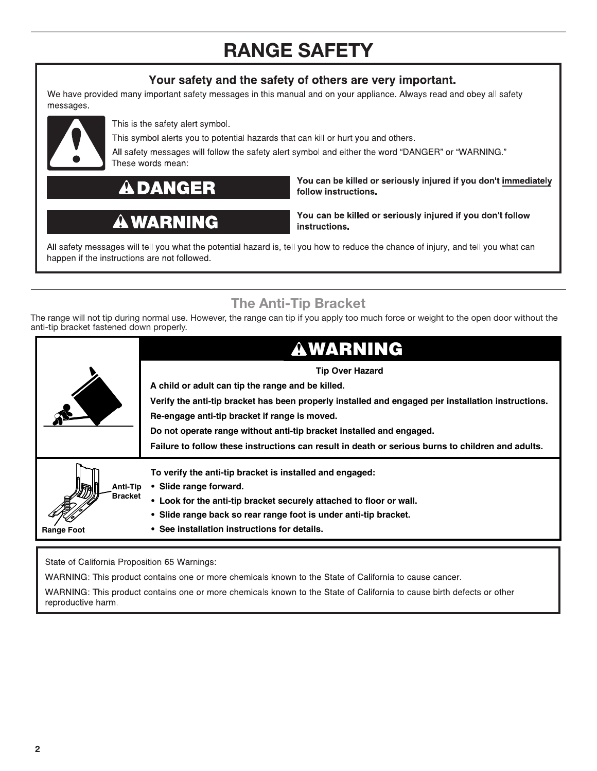# **RANGE SAFETY**

### Your safety and the safety of others are very important.

<span id="page-1-0"></span>We have provided many important safety messages in this manual and on your appliance. Always read and obey all safety messages.



This is the safety alert symbol.

This symbol alerts you to potential hazards that can kill or hurt you and others.

All safety messages will follow the safety alert symbol and either the word "DANGER" or "WARNING." These words mean:

**DANGER** 

## **A WARNING**

You can be killed or seriously injured if you don't immediately follow instructions.

You can be killed or seriously injured if you don't follow instructions.

All safety messages will tell you what the potential hazard is, tell you how to reduce the chance of injury, and tell you what can happen if the instructions are not followed.

## **The Anti-Tip Bracket**

The range will not tip during normal use. However, the range can tip if you apply too much force or weight to the open door without the anti-tip bracket fastened down properly.

|                            | <b>AWARNING</b>                                                                                    |
|----------------------------|----------------------------------------------------------------------------------------------------|
|                            | <b>Tip Over Hazard</b>                                                                             |
|                            | A child or adult can tip the range and be killed.                                                  |
|                            | Verify the anti-tip bracket has been properly installed and engaged per installation instructions. |
|                            | Re-engage anti-tip bracket if range is moved.                                                      |
|                            | Do not operate range without anti-tip bracket installed and engaged.                               |
|                            | Failure to follow these instructions can result in death or serious burns to children and adults.  |
|                            | To verify the anti-tip bracket is installed and engaged:                                           |
| Anti-Tip<br><b>Bracket</b> | • Slide range forward.                                                                             |
|                            | • Look for the anti-tip bracket securely attached to floor or wall.                                |
|                            | • Slide range back so rear range foot is under anti-tip bracket.                                   |
| <b>Range Foot</b>          | • See installation instructions for details.                                                       |

State of California Proposition 65 Warnings:

WARNING: This product contains one or more chemicals known to the State of California to cause cancer.

WARNING: This product contains one or more chemicals known to the State of California to cause birth defects or other reproductive harm.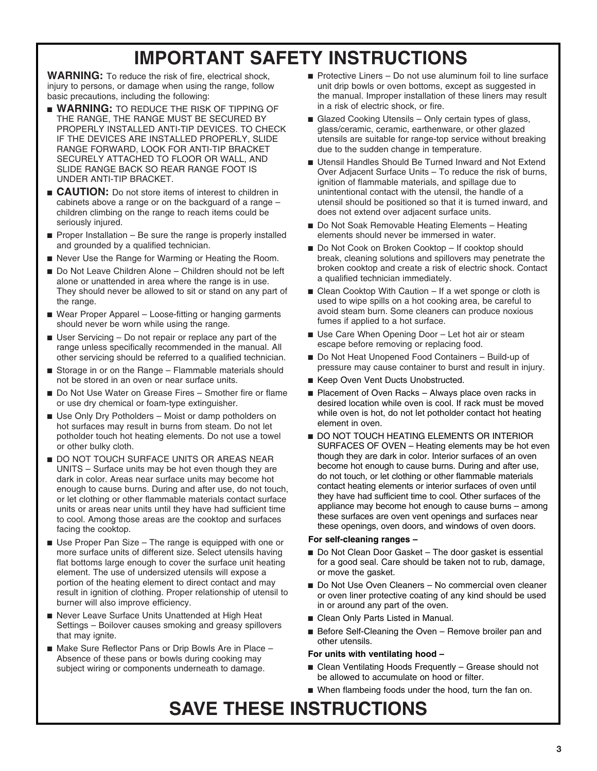## **IMPORTANT SAFETY INSTRUCTIONS**

**WARNING:** To reduce the risk of fire, electrical shock, injury to persons, or damage when using the range, follow basic precautions, including the following:

- **WARNING:** TO REDUCE THE RISK OF TIPPING OF THE RANGE, THE RANGE MUST BE SECURED BY PROPERLY INSTALLED ANTI-TIP DEVICES. TO CHECK IF THE DEVICES ARE INSTALLED PROPERLY, SLIDE RANGE FORWARD, LOOK FOR ANTI-TIP BRACKET SECURELY ATTACHED TO FLOOR OR WALL, AND SLIDE RANGE BACK SO REAR RANGE FOOT IS UNDER ANTI-TIP BRACKET.
- **CAUTION:** Do not store items of interest to children in cabinets above a range or on the backguard of a range – children climbing on the range to reach items could be seriously injured.
- $\blacksquare$  Proper Installation Be sure the range is properly installed and grounded by a qualified technician.
- Never Use the Range for Warming or Heating the Room.
- Do Not Leave Children Alone Children should not be left alone or unattended in area where the range is in use. They should never be allowed to sit or stand on any part of the range.
- Wear Proper Apparel Loose-fitting or hanging garments should never be worn while using the range.
- User Servicing Do not repair or replace any part of the range unless specifically recommended in the manual. All other servicing should be referred to a qualified technician.
- Storage in or on the Range Flammable materials should not be stored in an oven or near surface units.
- Do Not Use Water on Grease Fires Smother fire or flame or use dry chemical or foam-type extinguisher.
- Use Only Dry Potholders Moist or damp potholders on hot surfaces may result in burns from steam. Do not let potholder touch hot heating elements. Do not use a towel or other bulky cloth.
- DO NOT TOUCH SURFACE UNITS OR AREAS NEAR UNITS – Surface units may be hot even though they are dark in color. Areas near surface units may become hot enough to cause burns. During and after use, do not touch, or let clothing or other flammable materials contact surface units or areas near units until they have had sufficient time to cool. Among those areas are the cooktop and surfaces facing the cooktop.
- Use Proper Pan Size The range is equipped with one or more surface units of different size. Select utensils having flat bottoms large enough to cover the surface unit heating element. The use of undersized utensils will expose a portion of the heating element to direct contact and may result in ignition of clothing. Proper relationship of utensil to burner will also improve efficiency.
- Never Leave Surface Units Unattended at High Heat Settings – Boilover causes smoking and greasy spillovers that may ignite.
- Make Sure Reflector Pans or Drip Bowls Are in Place Absence of these pans or bowls during cooking may subject wiring or components underneath to damage.
- Protective Liners Do not use aluminum foil to line surface unit drip bowls or oven bottoms, except as suggested in the manual. Improper installation of these liners may result in a risk of electric shock, or fire.
- Glazed Cooking Utensils Only certain types of glass, glass/ceramic, ceramic, earthenware, or other glazed utensils are suitable for range-top service without breaking due to the sudden change in temperature.
- Utensil Handles Should Be Turned Inward and Not Extend Over Adjacent Surface Units – To reduce the risk of burns, ignition of flammable materials, and spillage due to unintentional contact with the utensil, the handle of a utensil should be positioned so that it is turned inward, and does not extend over adjacent surface units.
- Do Not Soak Removable Heating Elements Heating elements should never be immersed in water.
- Do Not Cook on Broken Cooktop If cooktop should break, cleaning solutions and spillovers may penetrate the broken cooktop and create a risk of electric shock. Contact a qualified technician immediately.
- Clean Cooktop With Caution If a wet sponge or cloth is used to wipe spills on a hot cooking area, be careful to avoid steam burn. Some cleaners can produce noxious fumes if applied to a hot surface.
- Use Care When Opening Door Let hot air or steam escape before removing or replacing food.
- Do Not Heat Unopened Food Containers Build-up of pressure may cause container to burst and result in injury.
- Keep Oven Vent Ducts Unobstructed.
- Placement of Oven Racks Always place oven racks in desired location while oven is cool. If rack must be moved while oven is hot, do not let potholder contact hot heating element in oven.
- DO NOT TOUCH HEATING ELEMENTS OR INTERIOR SURFACES OF OVEN – Heating elements may be hot even though they are dark in color. Interior surfaces of an oven become hot enough to cause burns. During and after use, do not touch, or let clothing or other flammable materials contact heating elements or interior surfaces of oven until they have had sufficient time to cool. Other surfaces of the appliance may become hot enough to cause burns – among these surfaces are oven vent openings and surfaces near these openings, oven doors, and windows of oven doors.

#### **For self-cleaning ranges –**

- Do Not Clean Door Gasket The door gasket is essential for a good seal. Care should be taken not to rub, damage, or move the gasket.
- Do Not Use Oven Cleaners No commercial oven cleaner or oven liner protective coating of any kind should be used in or around any part of the oven.
- Clean Only Parts Listed in Manual.
- Before Self-Cleaning the Oven Remove broiler pan and other utensils.

#### **For units with ventilating hood –**

- Clean Ventilating Hoods Frequently Grease should not be allowed to accumulate on hood or filter.
- When flambeing foods under the hood, turn the fan on.

## **SAVE THESE INSTRUCTIONS**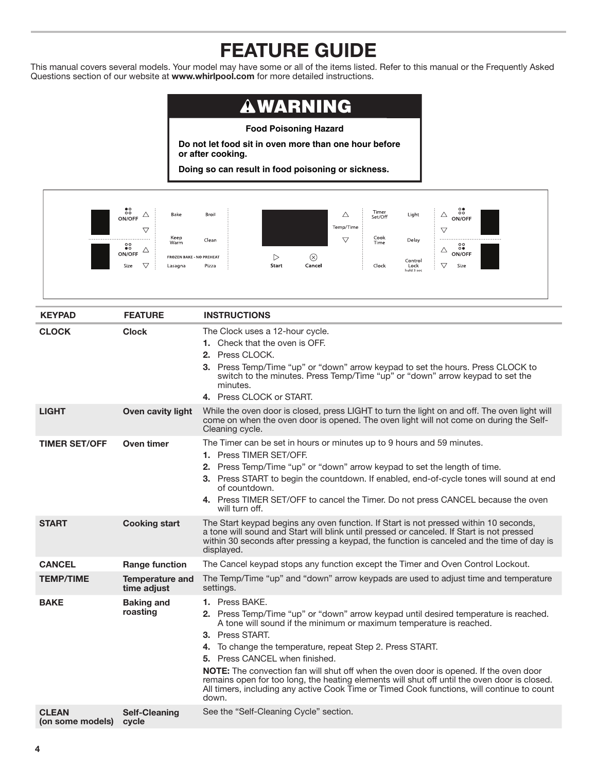## **FEATURE GUIDE**

<span id="page-3-0"></span>This manual covers several models. Your model may have some or all of the items listed. Refer to this manual or the Frequently Asked Questions section of our website at **www.whirlpool.com** for more detailed instructions.

## **AWARNING**

#### **Food Poisoning Hazard**

**Do not let food sit in oven more than one hour before or after cooking.**

**Doing so can result in food poisoning or sickness.**



| <b>KEYPAD</b>                    | <b>FEATURE</b>                        | <b>INSTRUCTIONS</b>                                                                                                                                                                                                                                                                                                                                                                                                                                                                                                                                                                                    |  |
|----------------------------------|---------------------------------------|--------------------------------------------------------------------------------------------------------------------------------------------------------------------------------------------------------------------------------------------------------------------------------------------------------------------------------------------------------------------------------------------------------------------------------------------------------------------------------------------------------------------------------------------------------------------------------------------------------|--|
| <b>CLOCK</b>                     | <b>Clock</b>                          | The Clock uses a 12-hour cycle.<br>1. Check that the oven is OFF.<br>2. Press CLOCK.<br>3. Press Temp/Time "up" or "down" arrow keypad to set the hours. Press CLOCK to<br>switch to the minutes. Press Temp/Time "up" or "down" arrow keypad to set the<br>minutes.<br>4. Press CLOCK or START.                                                                                                                                                                                                                                                                                                       |  |
| <b>LIGHT</b>                     | Oven cavity light                     | While the oven door is closed, press LIGHT to turn the light on and off. The oven light will<br>come on when the oven door is opened. The oven light will not come on during the Self-<br>Cleaning cycle.                                                                                                                                                                                                                                                                                                                                                                                              |  |
| <b>TIMER SET/OFF</b>             | Oven timer                            | The Timer can be set in hours or minutes up to 9 hours and 59 minutes.<br>1. Press TIMER SET/OFF.<br>2. Press Temp/Time "up" or "down" arrow keypad to set the length of time.<br>3. Press START to begin the countdown. If enabled, end-of-cycle tones will sound at end<br>of countdown.<br>4. Press TIMER SET/OFF to cancel the Timer. Do not press CANCEL because the oven<br>will turn off.                                                                                                                                                                                                       |  |
| <b>START</b>                     | <b>Cooking start</b>                  | The Start keypad begins any oven function. If Start is not pressed within 10 seconds,<br>a tone will sound and Start will blink until pressed or canceled. If Start is not pressed<br>within 30 seconds after pressing a keypad, the function is canceled and the time of day is<br>displayed.                                                                                                                                                                                                                                                                                                         |  |
| <b>CANCEL</b>                    | <b>Range function</b>                 | The Cancel keypad stops any function except the Timer and Oven Control Lockout.                                                                                                                                                                                                                                                                                                                                                                                                                                                                                                                        |  |
| <b>TEMP/TIME</b>                 | <b>Temperature and</b><br>time adjust | The Temp/Time "up" and "down" arrow keypads are used to adjust time and temperature<br>settings.                                                                                                                                                                                                                                                                                                                                                                                                                                                                                                       |  |
| <b>BAKE</b>                      | <b>Baking and</b><br>roasting         | 1. Press BAKE.<br>2. Press Temp/Time "up" or "down" arrow keypad until desired temperature is reached.<br>A tone will sound if the minimum or maximum temperature is reached.<br>3. Press START.<br>4. To change the temperature, repeat Step 2. Press START.<br>5. Press CANCEL when finished.<br><b>NOTE:</b> The convection fan will shut off when the oven door is opened. If the oven door<br>remains open for too long, the heating elements will shut off until the oven door is closed.<br>All timers, including any active Cook Time or Timed Cook functions, will continue to count<br>down. |  |
| <b>CLEAN</b><br>(on some models) | <b>Self-Cleaning</b><br>cycle         | See the "Self-Cleaning Cycle" section.                                                                                                                                                                                                                                                                                                                                                                                                                                                                                                                                                                 |  |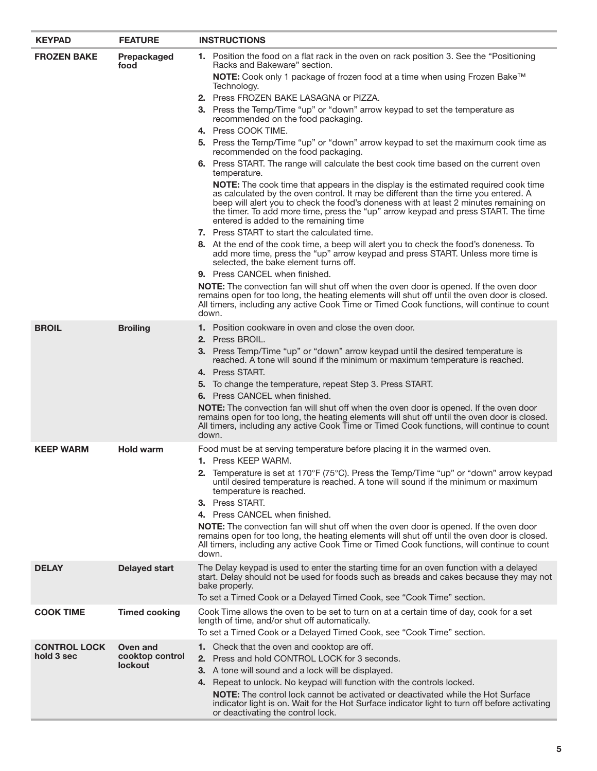| <b>KEYPAD</b>                     | <b>FEATURE</b>                                | <b>INSTRUCTIONS</b>                                                                                                                                                                                                                                                                                                                                                                                        |  |
|-----------------------------------|-----------------------------------------------|------------------------------------------------------------------------------------------------------------------------------------------------------------------------------------------------------------------------------------------------------------------------------------------------------------------------------------------------------------------------------------------------------------|--|
| <b>FROZEN BAKE</b>                | Prepackaged<br>food                           | 1. Position the food on a flat rack in the oven on rack position 3. See the "Positioning"<br>Racks and Bakeware" section.                                                                                                                                                                                                                                                                                  |  |
|                                   |                                               | NOTE: Cook only 1 package of frozen food at a time when using Frozen Bake™<br>Technology.                                                                                                                                                                                                                                                                                                                  |  |
|                                   |                                               | 2. Press FROZEN BAKE LASAGNA or PIZZA.                                                                                                                                                                                                                                                                                                                                                                     |  |
|                                   |                                               | 3. Press the Temp/Time "up" or "down" arrow keypad to set the temperature as<br>recommended on the food packaging.                                                                                                                                                                                                                                                                                         |  |
|                                   |                                               | 4. Press COOK TIME.                                                                                                                                                                                                                                                                                                                                                                                        |  |
|                                   |                                               | 5. Press the Temp/Time "up" or "down" arrow keypad to set the maximum cook time as<br>recommended on the food packaging.                                                                                                                                                                                                                                                                                   |  |
|                                   |                                               | 6. Press START. The range will calculate the best cook time based on the current oven<br>temperature.                                                                                                                                                                                                                                                                                                      |  |
|                                   |                                               | <b>NOTE:</b> The cook time that appears in the display is the estimated required cook time<br>as calculated by the oven control. It may be different than the time you entered. A<br>beep will alert you to check the food's doneness with at least 2 minutes remaining on<br>the timer. To add more time, press the "up" arrow keypad and press START. The time<br>entered is added to the remaining time |  |
|                                   |                                               | <b>7.</b> Press START to start the calculated time.                                                                                                                                                                                                                                                                                                                                                        |  |
|                                   |                                               | 8. At the end of the cook time, a beep will alert you to check the food's doneness. To<br>add more time, press the "up" arrow keypad and press START. Unless more time is<br>selected, the bake element turns off.                                                                                                                                                                                         |  |
|                                   |                                               | 9. Press CANCEL when finished.                                                                                                                                                                                                                                                                                                                                                                             |  |
|                                   |                                               | <b>NOTE:</b> The convection fan will shut off when the oven door is opened. If the oven door<br>remains open for too long, the heating elements will shut off until the oven door is closed.<br>All timers, including any active Cook Time or Timed Cook functions, will continue to count<br>down.                                                                                                        |  |
| <b>BROIL</b>                      | <b>Broiling</b>                               | <b>1.</b> Position cookware in oven and close the oven door.<br><b>2.</b> Press BROIL.                                                                                                                                                                                                                                                                                                                     |  |
|                                   |                                               | 3. Press Temp/Time "up" or "down" arrow keypad until the desired temperature is<br>reached. A tone will sound if the minimum or maximum temperature is reached.                                                                                                                                                                                                                                            |  |
|                                   |                                               | 4. Press START.                                                                                                                                                                                                                                                                                                                                                                                            |  |
|                                   |                                               | 5. To change the temperature, repeat Step 3. Press START.                                                                                                                                                                                                                                                                                                                                                  |  |
|                                   |                                               | <b>6.</b> Press CANCEL when finished.                                                                                                                                                                                                                                                                                                                                                                      |  |
|                                   |                                               | <b>NOTE:</b> The convection fan will shut off when the oven door is opened. If the oven door<br>remains open for too long, the heating elements will shut off until the oven door is closed.<br>All timers, including any active Cook Time or Timed Cook functions, will continue to count<br>down.                                                                                                        |  |
| <b>KEEP WARM</b>                  | <b>Hold warm</b>                              | Food must be at serving temperature before placing it in the warmed oven.                                                                                                                                                                                                                                                                                                                                  |  |
|                                   |                                               | 1. Press KEEP WARM.                                                                                                                                                                                                                                                                                                                                                                                        |  |
|                                   |                                               | 2. Temperature is set at 170°F (75°C). Press the Temp/Time "up" or "down" arrow keypad<br>until desired temperature is reached. A tone will sound if the minimum or maximum<br>temperature is reached.                                                                                                                                                                                                     |  |
|                                   |                                               | 3. Press START.                                                                                                                                                                                                                                                                                                                                                                                            |  |
|                                   |                                               | 4. Press CANCEL when finished.                                                                                                                                                                                                                                                                                                                                                                             |  |
|                                   |                                               | NOTE: The convection fan will shut off when the oven door is opened. If the oven door<br>remains open for too long, the heating elements will shut off until the oven door is closed.<br>All timers, including any active Cook Time or Timed Cook functions, will continue to count<br>down.                                                                                                               |  |
| <b>DELAY</b>                      | <b>Delayed start</b>                          | The Delay keypad is used to enter the starting time for an oven function with a delayed<br>start. Delay should not be used for foods such as breads and cakes because they may not<br>bake properly.                                                                                                                                                                                                       |  |
|                                   |                                               | To set a Timed Cook or a Delayed Timed Cook, see "Cook Time" section.                                                                                                                                                                                                                                                                                                                                      |  |
| <b>COOK TIME</b>                  | <b>Timed cooking</b>                          | Cook Time allows the oven to be set to turn on at a certain time of day, cook for a set<br>length of time, and/or shut off automatically.                                                                                                                                                                                                                                                                  |  |
|                                   |                                               | To set a Timed Cook or a Delayed Timed Cook, see "Cook Time" section.                                                                                                                                                                                                                                                                                                                                      |  |
| <b>CONTROL LOCK</b><br>hold 3 sec | Oven and<br>cooktop control<br><b>lockout</b> | 1. Check that the oven and cooktop are off.<br>2. Press and hold CONTROL LOCK for 3 seconds.                                                                                                                                                                                                                                                                                                               |  |
|                                   |                                               | 3. A tone will sound and a lock will be displayed.                                                                                                                                                                                                                                                                                                                                                         |  |
|                                   |                                               | 4. Repeat to unlock. No keypad will function with the controls locked.                                                                                                                                                                                                                                                                                                                                     |  |
|                                   |                                               | <b>NOTE:</b> The control lock cannot be activated or deactivated while the Hot Surface<br>indicator light is on. Wait for the Hot Surface indicator light to turn off before activating<br>or deactivating the control lock.                                                                                                                                                                               |  |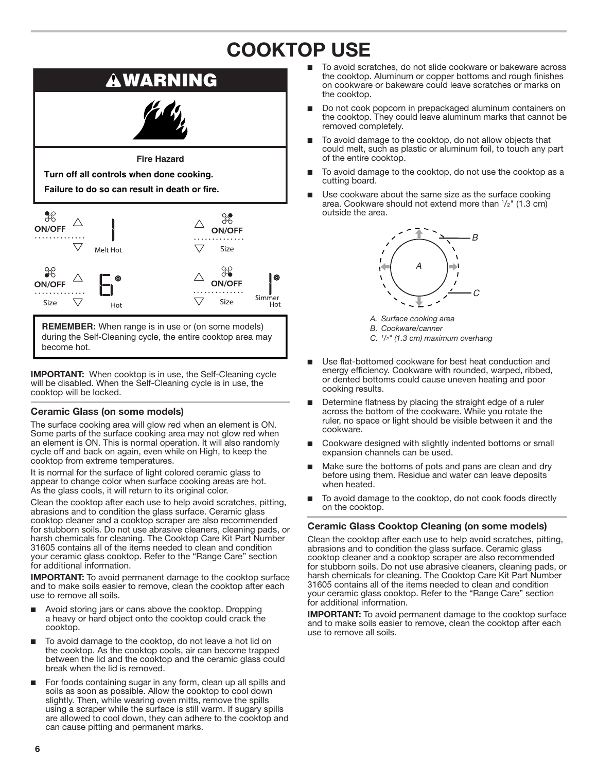## **COOKTOP USE**

<span id="page-5-0"></span>

during the Self-Cleaning cycle, the entire cooktop area may become hot.

**IMPORTANT:** When cooktop is in use, the Self-Cleaning cycle will be disabled. When the Self-Cleaning cycle is in use, the cooktop will be locked.

#### **Ceramic Glass (on some models)**

The surface cooking area will glow red when an element is ON. Some parts of the surface cooking area may not glow red when an element is ON. This is normal operation. It will also randomly cycle off and back on again, even while on High, to keep the cooktop from extreme temperatures.

It is normal for the surface of light colored ceramic glass to appear to change color when surface cooking areas are hot. As the glass cools, it will return to its original color.

Clean the cooktop after each use to help avoid scratches, pitting, abrasions and to condition the glass surface. Ceramic glass cooktop cleaner and a cooktop scraper are also recommended for stubborn soils. Do not use abrasive cleaners, cleaning pads, or harsh chemicals for cleaning. The Cooktop Care Kit Part Number 31605 contains all of the items needed to clean and condition your ceramic glass cooktop. Refer to the "Range Care" section for additional information.

**IMPORTANT:** To avoid permanent damage to the cooktop surface and to make soils easier to remove, clean the cooktop after each use to remove all soils.

- Avoid storing jars or cans above the cooktop. Dropping a heavy or hard object onto the cooktop could crack the cooktop.
- To avoid damage to the cooktop, do not leave a hot lid on the cooktop. As the cooktop cools, air can become trapped between the lid and the cooktop and the ceramic glass could break when the lid is removed.
- For foods containing sugar in any form, clean up all spills and soils as soon as possible. Allow the cooktop to cool down slightly. Then, while wearing oven mitts, remove the spills using a scraper while the surface is still warm. If sugary spills are allowed to cool down, they can adhere to the cooktop and can cause pitting and permanent marks.
- To avoid scratches, do not slide cookware or bakeware across the cooktop. Aluminum or copper bottoms and rough finishes on cookware or bakeware could leave scratches or marks on the cooktop.
- Do not cook popcorn in prepackaged aluminum containers on the cooktop. They could leave aluminum marks that cannot be removed completely.
- To avoid damage to the cooktop, do not allow objects that could melt, such as plastic or aluminum foil, to touch any part of the entire cooktop.
- To avoid damage to the cooktop, do not use the cooktop as a cutting board.
- Use cookware about the same size as the surface cooking area. Cookware should not extend more than  $\frac{1}{2}$ " (1.3 cm) outside the area.



*A. Surface cooking area*

- *B. Cookware/canner*
- *C. <sup>1</sup> /2" (1.3 cm) maximum overhang*
- Use flat-bottomed cookware for best heat conduction and energy efficiency. Cookware with rounded, warped, ribbed, or dented bottoms could cause uneven heating and poor cooking results.
- Determine flatness by placing the straight edge of a ruler across the bottom of the cookware. While you rotate the ruler, no space or light should be visible between it and the cookware.
- Cookware designed with slightly indented bottoms or small expansion channels can be used.
- Make sure the bottoms of pots and pans are clean and dry before using them. Residue and water can leave deposits when heated.
- To avoid damage to the cooktop, do not cook foods directly on the cooktop.

#### **Ceramic Glass Cooktop Cleaning (on some models)**

Clean the cooktop after each use to help avoid scratches, pitting, abrasions and to condition the glass surface. Ceramic glass cooktop cleaner and a cooktop scraper are also recommended for stubborn soils. Do not use abrasive cleaners, cleaning pads, or harsh chemicals for cleaning. The Cooktop Care Kit Part Number 31605 contains all of the items needed to clean and condition your ceramic glass cooktop. Refer to the "Range Care" section for additional information.

**IMPORTANT:** To avoid permanent damage to the cooktop surface and to make soils easier to remove, clean the cooktop after each use to remove all soils.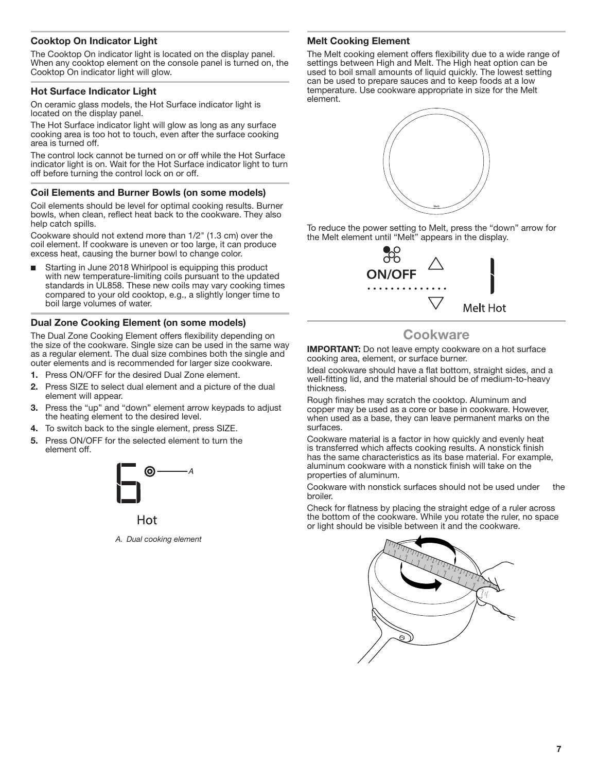#### <span id="page-6-0"></span>**Cooktop On Indicator Light**

The Cooktop On indicator light is located on the display panel. When any cooktop element on the console panel is turned on, the Cooktop On indicator light will glow.

#### **Hot Surface Indicator Light**

On ceramic glass models, the Hot Surface indicator light is located on the display panel.

The Hot Surface indicator light will glow as long as any surface cooking area is too hot to touch, even after the surface cooking area is turned off.

The control lock cannot be turned on or off while the Hot Surface indicator light is on. Wait for the Hot Surface indicator light to turn off before turning the control lock on or off.

#### **Coil Elements and Burner Bowls (on some models)**

Coil elements should be level for optimal cooking results. Burner bowls, when clean, reflect heat back to the cookware. They also help catch spills.

Cookware should not extend more than 1/2" (1.3 cm) over the coil element. If cookware is uneven or too large, it can produce excess heat, causing the burner bowl to change color.

■ Starting in June 2018 Whirlpool is equipping this product with new temperature-limiting coils pursuant to the updated standards in UL858. These new coils may vary cooking times compared to your old cooktop, e.g., a slightly longer time to boil large volumes of water.

#### **Dual Zone Cooking Element (on some models)**

The Dual Zone Cooking Element offers flexibility depending on the size of the cookware. Single size can be used in the same way as a regular element. The dual size combines both the single and outer elements and is recommended for larger size cookware.

- 1. Press ON/OFF for the desired Dual Zone element.
- 2. Press SIZE to select dual element and a picture of the dual element will appear.
- 3. Press the "up" and "down" element arrow keypads to adjust the heating element to the desired level.
- 4. To switch back to the single element, press SIZE.
- 5. Press ON/OFF for the selected element to turn the element off.



Hot

*A. Dual cooking element*

#### **Melt Cooking Element**

The Melt cooking element offers flexibility due to a wide range of settings between High and Melt. The High heat option can be used to boil small amounts of liquid quickly. The lowest setting can be used to prepare sauces and to keep foods at a low temperature. Use cookware appropriate in size for the Melt element.



To reduce the power setting to Melt, press the "down" arrow for the Melt element until "Melt" appears in the display.



### **Cookware**

**IMPORTANT:** Do not leave empty cookware on a hot surface cooking area, element, or surface burner.

Ideal cookware should have a flat bottom, straight sides, and a well-fitting lid, and the material should be of medium-to-heavy thickness.

Rough finishes may scratch the cooktop. Aluminum and copper may be used as a core or base in cookware. However, when used as a base, they can leave permanent marks on the surfaces.

Cookware material is a factor in how quickly and evenly heat is transferred which affects cooking results. A nonstick finish has the same characteristics as its base material. For example, aluminum cookware with a nonstick finish will take on the properties of aluminum.

Cookware with nonstick surfaces should not be used under the broiler.

Check for flatness by placing the straight edge of a ruler across the bottom of the cookware. While you rotate the ruler, no space or light should be visible between it and the cookware.

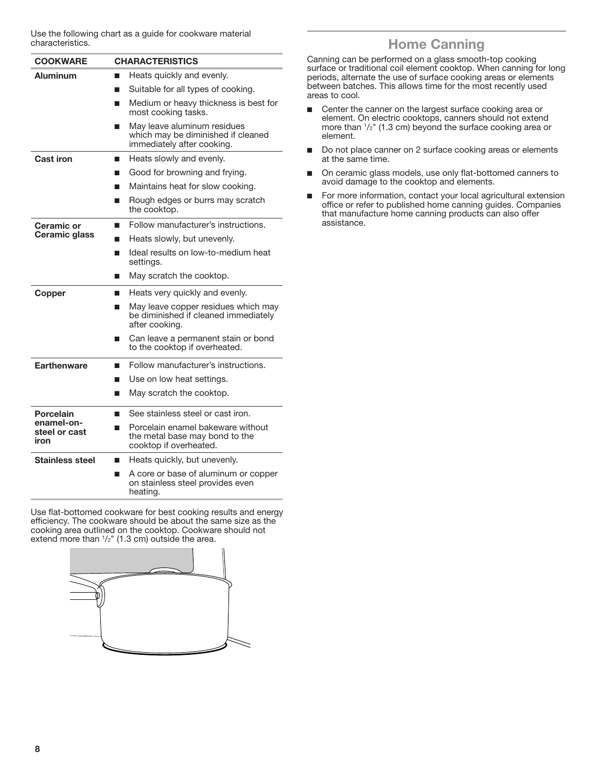<span id="page-7-0"></span>Use the following chart as a guide for cookware material characteristics.

| <b>COOKWARE</b>                     | <b>CHARACTERISTICS</b>                                                                             |  |
|-------------------------------------|----------------------------------------------------------------------------------------------------|--|
| <b>Aluminum</b>                     | Heats quickly and evenly.                                                                          |  |
|                                     | Suitable for all types of cooking.                                                                 |  |
|                                     | Medium or heavy thickness is best for<br>■<br>most cooking tasks.                                  |  |
|                                     | May leave aluminum residues<br>which may be diminished if cleaned<br>immediately after cooking.    |  |
| <b>Cast iron</b>                    | Heats slowly and evenly.<br>п                                                                      |  |
|                                     | Good for browning and frying.                                                                      |  |
|                                     | Maintains heat for slow cooking.                                                                   |  |
|                                     | Rough edges or burrs may scratch<br>П<br>the cooktop.                                              |  |
| <b>Ceramic or</b>                   | Follow manufacturer's instructions.<br>ш                                                           |  |
| Ceramic glass                       | Heats slowly, but unevenly.<br>٦                                                                   |  |
|                                     | Ideal results on low-to-medium heat<br>■<br>settings.                                              |  |
|                                     | May scratch the cooktop.                                                                           |  |
| Copper                              | Heats very quickly and evenly.<br>ш                                                                |  |
|                                     | May leave copper residues which may<br>■<br>be diminished if cleaned immediately<br>after cooking. |  |
|                                     | Can leave a permanent stain or bond<br>П<br>to the cooktop if overheated.                          |  |
| <b>Earthenware</b>                  | Follow manufacturer's instructions.<br>ш                                                           |  |
|                                     | Use on low heat settings.<br>٦                                                                     |  |
|                                     | May scratch the cooktop.<br>■                                                                      |  |
| <b>Porcelain</b>                    | See stainless steel or cast iron.<br>п                                                             |  |
| enamel-on-<br>steel or cast<br>iron | Porcelain enamel bakeware without<br>■<br>the metal base may bond to the<br>cooktop if overheated. |  |
| <b>Stainless steel</b>              | Heats quickly, but unevenly.<br>ш                                                                  |  |
|                                     | A core or base of aluminum or copper<br>■<br>on stainless steel provides even<br>heating.          |  |

Use flat-bottomed cookware for best cooking results and energy efficiency. The cookware should be about the same size as the cooking area outlined on the cooktop. Cookware should not extend more than  $1/2$ " (1.3 cm) outside the area.



### **Home Canning**

Canning can be performed on a glass smooth-top cooking surface or traditional coil element cooktop. When canning for long periods, alternate the use of surface cooking areas or elements between batches. This allows time for the most recently used areas to cool.

- Center the canner on the largest surface cooking area or element. On electric cooktops, canners should not extend more than 1 /2" (1.3 cm) beyond the surface cooking area or element.
- Do not place canner on 2 surface cooking areas or elements at the same time.
- On ceramic glass models, use only flat-bottomed canners to avoid damage to the cooktop and elements.
- For more information, contact your local agricultural extension office or refer to published home canning guides. Companies that manufacture home canning products can also offer assistance.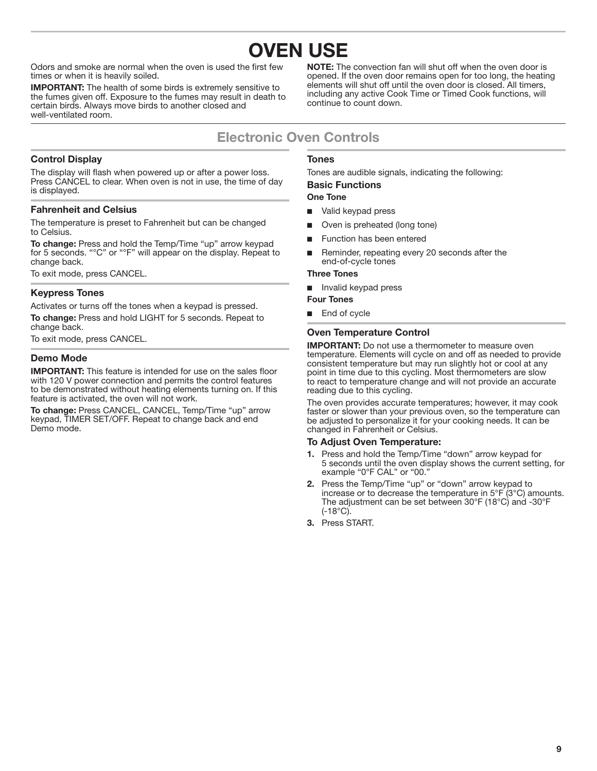<span id="page-8-0"></span>Odors and smoke are normal when the oven is used the first few times or when it is heavily soiled.

**IMPORTANT:** The health of some birds is extremely sensitive to the fumes given off. Exposure to the fumes may result in death to certain birds. Always move birds to another closed and well-ventilated room.

**NOTE:** The convection fan will shut off when the oven door is opened. If the oven door remains open for too long, the heating elements will shut off until the oven door is closed. All timers, including any active Cook Time or Timed Cook functions, will continue to count down.

### **Electronic Oven Controls**

#### **Control Display**

The display will flash when powered up or after a power loss. Press CANCEL to clear. When oven is not in use, the time of day is displayed.

#### **Fahrenheit and Celsius**

The temperature is preset to Fahrenheit but can be changed to Celsius.

**To change:** Press and hold the Temp/Time "up" arrow keypad for 5 seconds. "°C" or "°F" will appear on the display. Repeat to change back.

To exit mode, press CANCEL.

#### **Keypress Tones**

Activates or turns off the tones when a keypad is pressed. **To change:** Press and hold LIGHT for 5 seconds. Repeat to change back.

To exit mode, press CANCEL.

#### **Demo Mode**

**IMPORTANT:** This feature is intended for use on the sales floor with 120 V power connection and permits the control features to be demonstrated without heating elements turning on. If this feature is activated, the oven will not work.

**To change:** Press CANCEL, CANCEL, Temp/Time "up" arrow keypad, TIMER SET/OFF. Repeat to change back and end Demo mode.

#### **Tones**

Tones are audible signals, indicating the following:

#### **Basic Functions One Tone**

- Valid keypad press
- 
- Oven is preheated (long tone)
- Function has been entered
- Reminder, repeating every 20 seconds after the end-of-cycle tones

#### **Three Tones**

■ Invalid keypad press

#### **Four Tones**

End of cycle

#### **Oven Temperature Control**

**IMPORTANT:** Do not use a thermometer to measure oven temperature. Elements will cycle on and off as needed to provide consistent temperature but may run slightly hot or cool at any point in time due to this cycling. Most thermometers are slow to react to temperature change and will not provide an accurate reading due to this cycling.

The oven provides accurate temperatures; however, it may cook faster or slower than your previous oven, so the temperature can be adjusted to personalize it for your cooking needs. It can be changed in Fahrenheit or Celsius.

#### **To Adjust Oven Temperature:**

- 1. Press and hold the Temp/Time "down" arrow keypad for 5 seconds until the oven display shows the current setting, for example "0°F CAL" or "00."
- 2. Press the Temp/Time "up" or "down" arrow keypad to increase or to decrease the temperature in 5°F (3°C) amounts. The adjustment can be set between 30°F (18°C) and -30°F  $(-18^{\circ}C)$ .
- 3. Press START.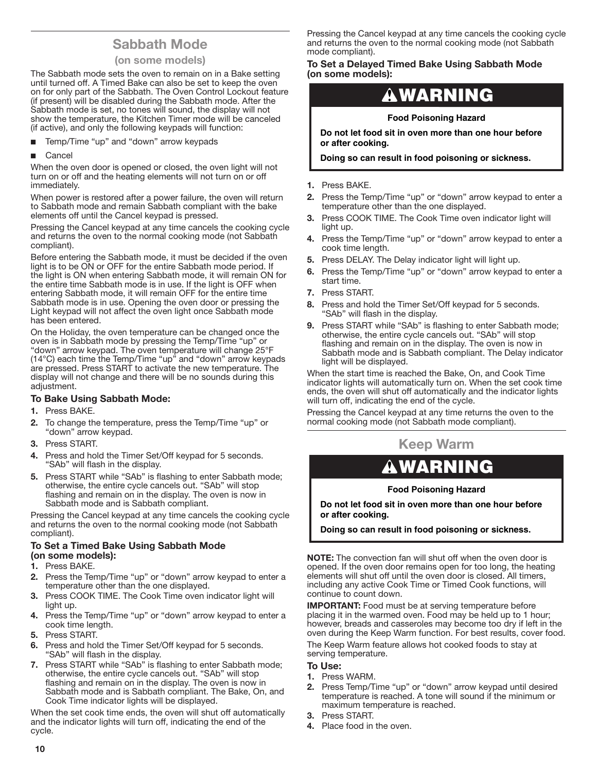### **Sabbath Mode**

#### **(on some models)**

<span id="page-9-0"></span>The Sabbath mode sets the oven to remain on in a Bake setting until turned off. A Timed Bake can also be set to keep the oven on for only part of the Sabbath. The Oven Control Lockout feature (if present) will be disabled during the Sabbath mode. After the Sabbath mode is set, no tones will sound, the display will not show the temperature, the Kitchen Timer mode will be canceled (if active), and only the following keypads will function:

- Temp/Time "up" and "down" arrow keypads
- **Cancel**

When the oven door is opened or closed, the oven light will not turn on or off and the heating elements will not turn on or off immediately.

When power is restored after a power failure, the oven will return to Sabbath mode and remain Sabbath compliant with the bake elements off until the Cancel keypad is pressed.

Pressing the Cancel keypad at any time cancels the cooking cycle and returns the oven to the normal cooking mode (not Sabbath compliant).

Before entering the Sabbath mode, it must be decided if the oven light is to be ON or OFF for the entire Sabbath mode period. If the light is ON when entering Sabbath mode, it will remain ON for the entire time Sabbath mode is in use. If the light is OFF when entering Sabbath mode, it will remain OFF for the entire time Sabbath mode is in use. Opening the oven door or pressing the Light keypad will not affect the oven light once Sabbath mode has been entered.

On the Holiday, the oven temperature can be changed once the oven is in Sabbath mode by pressing the Temp/Time "up" or "down" arrow keypad. The oven temperature will change 25°F (14°C) each time the Temp/Time "up" and "down" arrow keypads are pressed. Press START to activate the new temperature. The display will not change and there will be no sounds during this adjustment.

#### **To Bake Using Sabbath Mode:**

- 1. Press BAKE.
- 2. To change the temperature, press the Temp/Time "up" or "down" arrow keypad.
- 3. Press START.
- 4. Press and hold the Timer Set/Off keypad for 5 seconds. "SAb" will flash in the display.
- 5. Press START while "SAb" is flashing to enter Sabbath mode; otherwise, the entire cycle cancels out. "SAb" will stop flashing and remain on in the display. The oven is now in Sabbath mode and is Sabbath compliant.

Pressing the Cancel keypad at any time cancels the cooking cycle and returns the oven to the normal cooking mode (not Sabbath compliant).

#### **To Set a Timed Bake Using Sabbath Mode (on some models):**

- 1. Press BAKE.
- 2. Press the Temp/Time "up" or "down" arrow keypad to enter a temperature other than the one displayed.
- 3. Press COOK TIME. The Cook Time oven indicator light will light up.
- 4. Press the Temp/Time "up" or "down" arrow keypad to enter a cook time length.
- 5. Press START.
- 6. Press and hold the Timer Set/Off keypad for 5 seconds. "SAb" will flash in the display.
- 7. Press START while "SAb" is flashing to enter Sabbath mode; otherwise, the entire cycle cancels out. "SAb" will stop flashing and remain on in the display. The oven is now in Sabbath mode and is Sabbath compliant. The Bake, On, and Cook Time indicator lights will be displayed.

When the set cook time ends, the oven will shut off automatically and the indicator lights will turn off, indicating the end of the cycle.

Pressing the Cancel keypad at any time cancels the cooking cycle and returns the oven to the normal cooking mode (not Sabbath mode compliant).

#### **To Set a Delayed Timed Bake Using Sabbath Mode (on some models):**

## WARNING

#### **Food Poisoning Hazard**

**Do not let food sit in oven more than one hour before or after cooking.**

**Doing so can result in food poisoning or sickness.**

- 1. Press BAKE.
- 2. Press the Temp/Time "up" or "down" arrow keypad to enter a temperature other than the one displayed.
- 3. Press COOK TIME. The Cook Time oven indicator light will light up.
- 4. Press the Temp/Time "up" or "down" arrow keypad to enter a cook time length.
- 5. Press DELAY. The Delay indicator light will light up.
- 6. Press the Temp/Time "up" or "down" arrow keypad to enter a start time.
- 7. Press START.
- 8. Press and hold the Timer Set/Off keypad for 5 seconds. "SAb" will flash in the display.
- 9. Press START while "SAb" is flashing to enter Sabbath mode; otherwise, the entire cycle cancels out. "SAb" will stop flashing and remain on in the display. The oven is now in Sabbath mode and is Sabbath compliant. The Delay indicator light will be displayed.

When the start time is reached the Bake, On, and Cook Time indicator lights will automatically turn on. When the set cook time ends, the oven will shut off automatically and the indicator lights will turn off, indicating the end of the cycle.

Pressing the Cancel keypad at any time returns the oven to the normal cooking mode (not Sabbath mode compliant).

### **Keep Warm**

## WARNING

#### **Food Poisoning Hazard**

**Do not let food sit in oven more than one hour before or after cooking.**

**Doing so can result in food poisoning or sickness.**

**NOTE:** The convection fan will shut off when the oven door is opened. If the oven door remains open for too long, the heating elements will shut off until the oven door is closed. All timers, including any active Cook Time or Timed Cook functions, will continue to count down.

**IMPORTANT:** Food must be at serving temperature before placing it in the warmed oven. Food may be held up to 1 hour; however, breads and casseroles may become too dry if left in the oven during the Keep Warm function. For best results, cover food. The Keep Warm feature allows hot cooked foods to stay at serving temperature.

#### **To Use:**

- 1. Press WARM.
- 2. Press Temp/Time "up" or "down" arrow keypad until desired temperature is reached. A tone will sound if the minimum or maximum temperature is reached.
- 3. Press START.
- 4. Place food in the oven.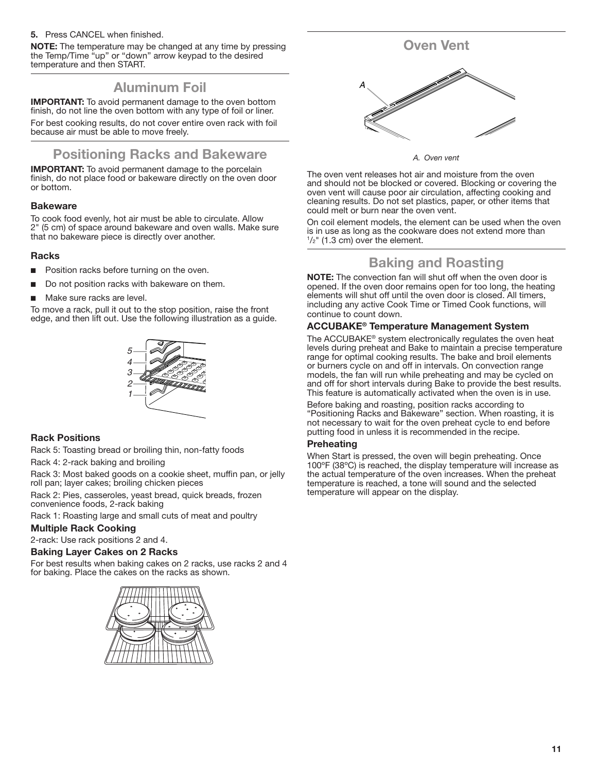#### <span id="page-10-0"></span>5. Press CANCEL when finished.

**NOTE:** The temperature may be changed at any time by pressing the Temp/Time "up" or "down" arrow keypad to the desired temperature and then START.

### **Aluminum Foil**

**IMPORTANT:** To avoid permanent damage to the oven bottom finish, do not line the oven bottom with any type of foil or liner.

For best cooking results, do not cover entire oven rack with foil because air must be able to move freely.

### **Positioning Racks and Bakeware**

**IMPORTANT:** To avoid permanent damage to the porcelain finish, do not place food or bakeware directly on the oven door or bottom.

#### **Bakeware**

To cook food evenly, hot air must be able to circulate. Allow 2" (5 cm) of space around bakeware and oven walls. Make sure that no bakeware piece is directly over another.

#### **Racks**

- Position racks before turning on the oven.
- Do not position racks with bakeware on them.
- Make sure racks are level.

To move a rack, pull it out to the stop position, raise the front edge, and then lift out. Use the following illustration as a guide.



#### **Rack Positions**

Rack 5: Toasting bread or broiling thin, non-fatty foods

Rack 4: 2-rack baking and broiling

Rack 3: Most baked goods on a cookie sheet, muffin pan, or jelly roll pan; layer cakes; broiling chicken pieces

Rack 2: Pies, casseroles, yeast bread, quick breads, frozen convenience foods, 2-rack baking

Rack 1: Roasting large and small cuts of meat and poultry

#### **Multiple Rack Cooking**

2-rack: Use rack positions 2 and 4.

#### **Baking Layer Cakes on 2 Racks**

For best results when baking cakes on 2 racks, use racks 2 and 4 for baking. Place the cakes on the racks as shown.





*A. Oven vent*

The oven vent releases hot air and moisture from the oven and should not be blocked or covered. Blocking or covering the oven vent will cause poor air circulation, affecting cooking and cleaning results. Do not set plastics, paper, or other items that could melt or burn near the oven vent.

On coil element models, the element can be used when the oven is in use as long as the cookware does not extend more than  $1/2$ " (1.3 cm) over the element.

### **Baking and Roasting**

**NOTE:** The convection fan will shut off when the oven door is opened. If the oven door remains open for too long, the heating elements will shut off until the oven door is closed. All timers, including any active Cook Time or Timed Cook functions, will continue to count down.

#### **ACCUBAKE® Temperature Management System**

The ACCUBAKE® system electronically regulates the oven heat levels during preheat and Bake to maintain a precise temperature range for optimal cooking results. The bake and broil elements or burners cycle on and off in intervals. On convection range models, the fan will run while preheating and may be cycled on and off for short intervals during Bake to provide the best results. This feature is automatically activated when the oven is in use.

Before baking and roasting, position racks according to "Positioning Racks and Bakeware" section. When roasting, it is not necessary to wait for the oven preheat cycle to end before putting food in unless it is recommended in the recipe.

#### **Preheating**

When Start is pressed, the oven will begin preheating. Once 100ºF (38ºC) is reached, the display temperature will increase as the actual temperature of the oven increases. When the preheat temperature is reached, a tone will sound and the selected temperature will appear on the display.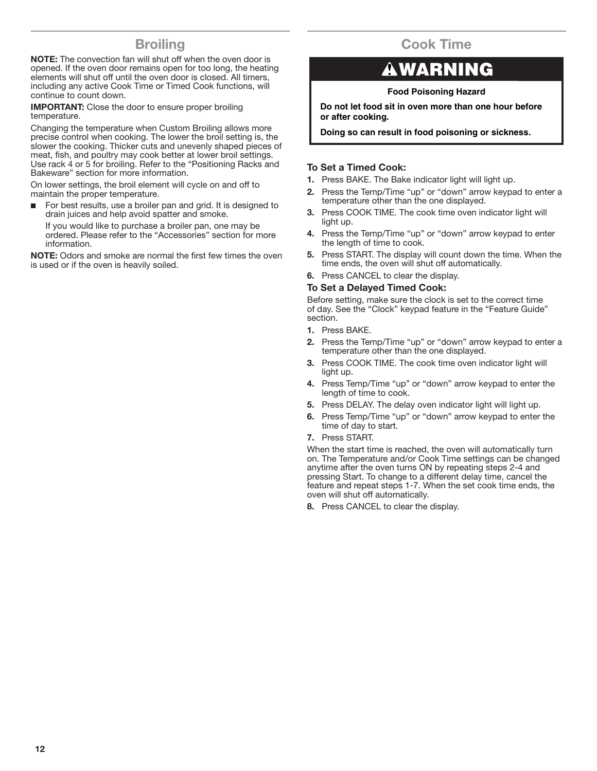### **Broiling**

<span id="page-11-0"></span>**NOTE:** The convection fan will shut off when the oven door is opened. If the oven door remains open for too long, the heating elements will shut off until the oven door is closed. All timers, including any active Cook Time or Timed Cook functions, will continue to count down.

**IMPORTANT:** Close the door to ensure proper broiling temperature.

Changing the temperature when Custom Broiling allows more precise control when cooking. The lower the broil setting is, the slower the cooking. Thicker cuts and unevenly shaped pieces of meat, fish, and poultry may cook better at lower broil settings. Use rack 4 or 5 for broiling. Refer to the "Positioning Racks and Bakeware" section for more information.

On lower settings, the broil element will cycle on and off to maintain the proper temperature.

■ For best results, use a broiler pan and grid. It is designed to drain juices and help avoid spatter and smoke.

If you would like to purchase a broiler pan, one may be ordered. Please refer to the "Accessories" section for more information.

**NOTE:** Odors and smoke are normal the first few times the oven is used or if the oven is heavily soiled.

## **Cook Time**

## WARNING

#### **Food Poisoning Hazard**

**Do not let food sit in oven more than one hour before or after cooking.**

**Doing so can result in food poisoning or sickness.**

#### **To Set a Timed Cook:**

- 1. Press BAKE. The Bake indicator light will light up.
- 2. Press the Temp/Time "up" or "down" arrow keypad to enter a temperature other than the one displayed.
- 3. Press COOK TIME. The cook time oven indicator light will light up.
- 4. Press the Temp/Time "up" or "down" arrow keypad to enter the length of time to cook.
- 5. Press START. The display will count down the time. When the time ends, the oven will shut off automatically.
- 6. Press CANCEL to clear the display.

#### **To Set a Delayed Timed Cook:**

Before setting, make sure the clock is set to the correct time of day. See the "Clock" keypad feature in the "Feature Guide" section.

- 1. Press BAKE.
- 2. Press the Temp/Time "up" or "down" arrow keypad to enter a temperature other than the one displayed.
- 3. Press COOK TIME. The cook time oven indicator light will light up.
- 4. Press Temp/Time "up" or "down" arrow keypad to enter the length of time to cook.
- 5. Press DELAY. The delay oven indicator light will light up.
- 6. Press Temp/Time "up" or "down" arrow keypad to enter the time of day to start.
- 7. Press START.

When the start time is reached, the oven will automatically turn on. The Temperature and/or Cook Time settings can be changed anytime after the oven turns ON by repeating steps 2-4 and pressing Start. To change to a different delay time, cancel the feature and repeat steps 1-7. When the set cook time ends, the oven will shut off automatically.

8. Press CANCEL to clear the display.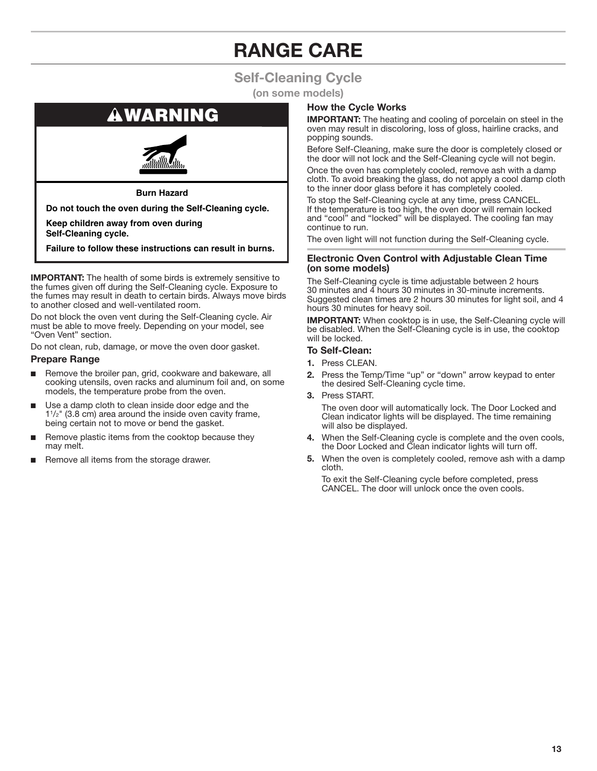## **RANGE CARE**

## **Self-Cleaning Cycle**

**(on some models)**

## <span id="page-12-0"></span>**AWARNING**



**Burn Hazard**

**Do not touch the oven during the Self-Cleaning cycle.**

**Keep children away from oven during Self-Cleaning cycle.**

**Failure to follow these instructions can result in burns.**

**IMPORTANT:** The health of some birds is extremely sensitive to the fumes given off during the Self-Cleaning cycle. Exposure to the fumes may result in death to certain birds. Always move birds to another closed and well-ventilated room.

Do not block the oven vent during the Self-Cleaning cycle. Air must be able to move freely. Depending on your model, see "Oven Vent" section.

Do not clean, rub, damage, or move the oven door gasket.

#### **Prepare Range**

- Remove the broiler pan, grid, cookware and bakeware, all cooking utensils, oven racks and aluminum foil and, on some models, the temperature probe from the oven.
- Use a damp cloth to clean inside door edge and the 11 /2" (3.8 cm) area around the inside oven cavity frame, being certain not to move or bend the gasket.
- Remove plastic items from the cooktop because they may melt.
- Remove all items from the storage drawer.

#### **How the Cycle Works**

**IMPORTANT:** The heating and cooling of porcelain on steel in the oven may result in discoloring, loss of gloss, hairline cracks, and popping sounds.

Before Self-Cleaning, make sure the door is completely closed or the door will not lock and the Self-Cleaning cycle will not begin.

Once the oven has completely cooled, remove ash with a damp cloth. To avoid breaking the glass, do not apply a cool damp cloth to the inner door glass before it has completely cooled.

To stop the Self-Cleaning cycle at any time, press CANCEL. If the temperature is too high, the oven door will remain locked and "cool" and "locked" will be displayed. The cooling fan may continue to run.

The oven light will not function during the Self-Cleaning cycle.

#### **Electronic Oven Control with Adjustable Clean Time (on some models)**

The Self-Cleaning cycle is time adjustable between 2 hours 30 minutes and 4 hours 30 minutes in 30-minute increments. Suggested clean times are 2 hours 30 minutes for light soil, and 4 hours 30 minutes for heavy soil.

**IMPORTANT:** When cooktop is in use, the Self-Cleaning cycle will be disabled. When the Self-Cleaning cycle is in use, the cooktop will be locked.

#### **To Self-Clean:**

- 1. Press CLEAN.
- 2. Press the Temp/Time "up" or "down" arrow keypad to enter the desired Self-Cleaning cycle time.
- 3. Press START.

The oven door will automatically lock. The Door Locked and Clean indicator lights will be displayed. The time remaining will also be displayed.

- 4. When the Self-Cleaning cycle is complete and the oven cools, the Door Locked and Clean indicator lights will turn off.
- 5. When the oven is completely cooled, remove ash with a damp cloth.

To exit the Self-Cleaning cycle before completed, press CANCEL. The door will unlock once the oven cools.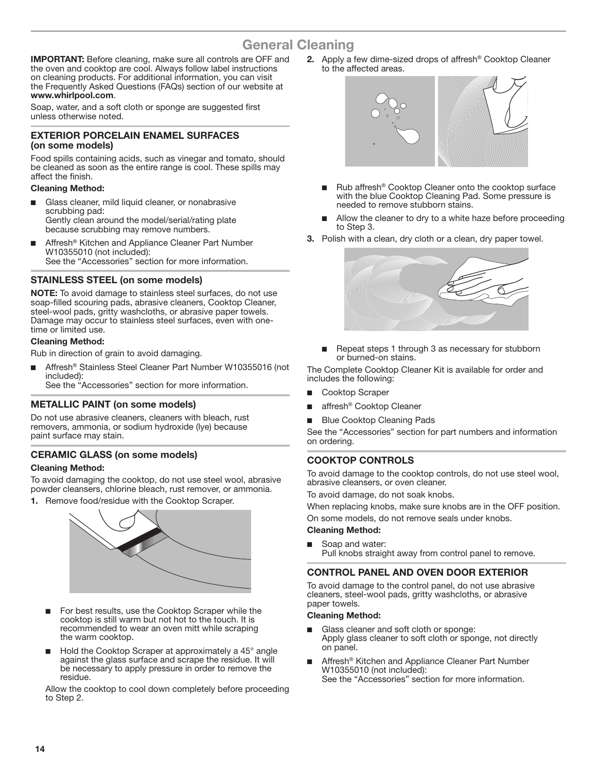### **General Cleaning**

<span id="page-13-0"></span>**IMPORTANT:** Before cleaning, make sure all controls are OFF and the oven and cooktop are cool. Always follow label instructions on cleaning products. For additional information, you can visit the Frequently Asked Questions (FAQs) section of our website at **www.whirlpool.com**.

Soap, water, and a soft cloth or sponge are suggested first unless otherwise noted.

#### **EXTERIOR PORCELAIN ENAMEL SURFACES (on some models)**

Food spills containing acids, such as vinegar and tomato, should be cleaned as soon as the entire range is cool. These spills may affect the finish.

#### **Cleaning Method:**

- Glass cleaner, mild liquid cleaner, or nonabrasive scrubbing pad: Gently clean around the model/serial/rating plate because scrubbing may remove numbers.
- Affresh<sup>®</sup> Kitchen and Appliance Cleaner Part Number W10355010 (not included): See the "Accessories" section for more information.

#### **STAINLESS STEEL (on some models)**

**NOTE:** To avoid damage to stainless steel surfaces, do not use soap-filled scouring pads, abrasive cleaners, Cooktop Cleaner, steel-wool pads, gritty washcloths, or abrasive paper towels. Damage may occur to stainless steel surfaces, even with onetime or limited use.

#### **Cleaning Method:**

Rub in direction of grain to avoid damaging.

Affresh<sup>®</sup> Stainless Steel Cleaner Part Number W10355016 (not included):

See the "Accessories" section for more information.

#### **METALLIC PAINT (on some models)**

Do not use abrasive cleaners, cleaners with bleach, rust removers, ammonia, or sodium hydroxide (lye) because paint surface may stain.

#### **CERAMIC GLASS (on some models)**

#### **Cleaning Method:**

To avoid damaging the cooktop, do not use steel wool, abrasive powder cleansers, chlorine bleach, rust remover, or ammonia.

1. Remove food/residue with the Cooktop Scraper.



- For best results, use the Cooktop Scraper while the cooktop is still warm but not hot to the touch. It is recommended to wear an oven mitt while scraping the warm cooktop.
- Hold the Cooktop Scraper at approximately a 45° angle against the glass surface and scrape the residue. It will be necessary to apply pressure in order to remove the residue.

Allow the cooktop to cool down completely before proceeding to Step 2.

2. Apply a few dime-sized drops of affresh® Cooktop Cleaner to the affected areas.



- Rub affresh® Cooktop Cleaner onto the cooktop surface with the blue Cooktop Cleaning Pad. Some pressure is needed to remove stubborn stains.
- Allow the cleaner to dry to a white haze before proceeding to Step 3.
- 3. Polish with a clean, dry cloth or a clean, dry paper towel.



■ Repeat steps 1 through 3 as necessary for stubborn or burned-on stains.

The Complete Cooktop Cleaner Kit is available for order and includes the following:

- Cooktop Scraper
- affresh<sup>®</sup> Cooktop Cleaner
- **Blue Cooktop Cleaning Pads**

See the "Accessories" section for part numbers and information on ordering.

#### **COOKTOP CONTROLS**

To avoid damage to the cooktop controls, do not use steel wool, abrasive cleansers, or oven cleaner.

To avoid damage, do not soak knobs.

When replacing knobs, make sure knobs are in the OFF position. On some models, do not remove seals under knobs.

#### **Cleaning Method:**

Soap and water: Pull knobs straight away from control panel to remove.

#### **CONTROL PANEL AND OVEN DOOR EXTERIOR**

To avoid damage to the control panel, do not use abrasive cleaners, steel-wool pads, gritty washcloths, or abrasive paper towels.

#### **Cleaning Method:**

- Glass cleaner and soft cloth or sponge: Apply glass cleaner to soft cloth or sponge, not directly on panel.
- Affresh<sup>®</sup> Kitchen and Appliance Cleaner Part Number W10355010 (not included): See the "Accessories" section for more information.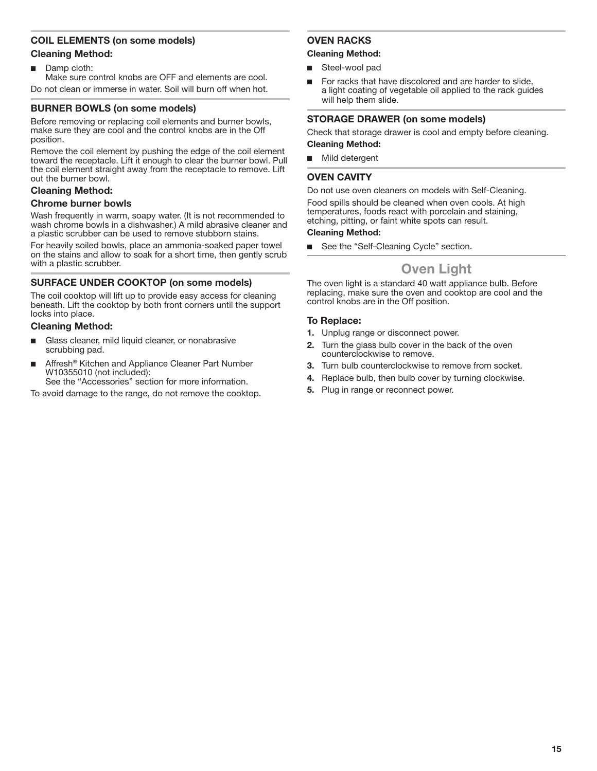#### <span id="page-14-0"></span>**COIL ELEMENTS (on some models)**

#### **Cleaning Method:**

■ Damp cloth:

Make sure control knobs are OFF and elements are cool. Do not clean or immerse in water. Soil will burn off when hot.

#### **BURNER BOWLS (on some models)**

Before removing or replacing coil elements and burner bowls, make sure they are cool and the control knobs are in the Off position.

Remove the coil element by pushing the edge of the coil element toward the receptacle. Lift it enough to clear the burner bowl. Pull the coil element straight away from the receptacle to remove. Lift out the burner bowl.

#### **Cleaning Method:**

#### **Chrome burner bowls**

Wash frequently in warm, soapy water. (It is not recommended to wash chrome bowls in a dishwasher.) A mild abrasive cleaner and a plastic scrubber can be used to remove stubborn stains.

For heavily soiled bowls, place an ammonia-soaked paper towel on the stains and allow to soak for a short time, then gently scrub with a plastic scrubber.

#### **SURFACE UNDER COOKTOP (on some models)**

The coil cooktop will lift up to provide easy access for cleaning beneath. Lift the cooktop by both front corners until the support locks into place.

#### **Cleaning Method:**

- Glass cleaner, mild liquid cleaner, or nonabrasive scrubbing pad.
- Affresh<sup>®</sup> Kitchen and Appliance Cleaner Part Number W10355010 (not included):

See the "Accessories" section for more information.

To avoid damage to the range, do not remove the cooktop.

#### **OVEN RACKS**

#### **Cleaning Method:**

- Steel-wool pad
- For racks that have discolored and are harder to slide, a light coating of vegetable oil applied to the rack guides will help them slide.

#### **STORAGE DRAWER (on some models)**

Check that storage drawer is cool and empty before cleaning. **Cleaning Method:**

■ Mild detergent

#### **OVEN CAVITY**

Do not use oven cleaners on models with Self-Cleaning.

Food spills should be cleaned when oven cools. At high temperatures, foods react with porcelain and staining, etching, pitting, or faint white spots can result.

#### **Cleaning Method:**

See the "Self-Cleaning Cycle" section.

### **Oven Light**

The oven light is a standard 40 watt appliance bulb. Before replacing, make sure the oven and cooktop are cool and the control knobs are in the Off position.

#### **To Replace:**

- 1. Unplug range or disconnect power.
- 2. Turn the glass bulb cover in the back of the oven counterclockwise to remove.
- 3. Turn bulb counterclockwise to remove from socket.
- 4. Replace bulb, then bulb cover by turning clockwise.
- 5. Plug in range or reconnect power.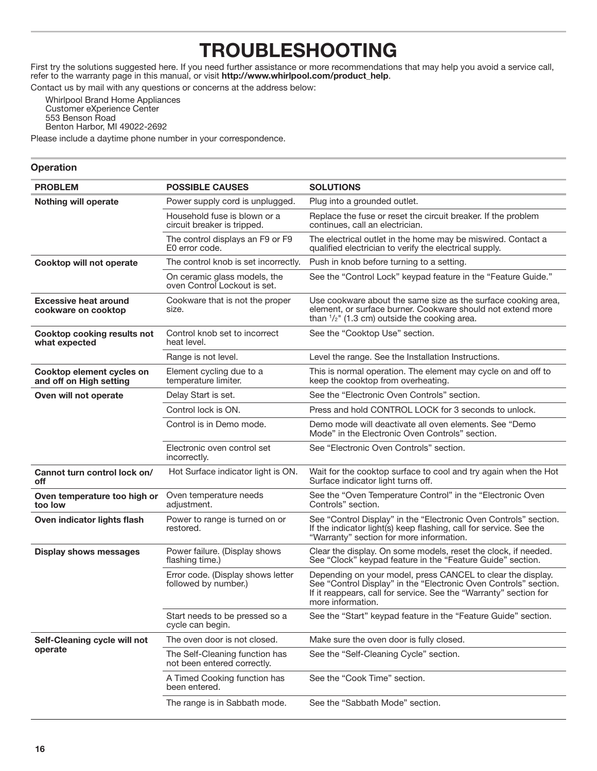## **TROUBLESHOOTING**

<span id="page-15-0"></span>First try the solutions suggested here. If you need further assistance or more recommendations that may help you avoid a service call, refer to the warranty page in this manual, or visit **http://www.whirlpool.com/product\_help**.

Contact us by mail with any questions or concerns at the address below:

Whirlpool Brand Home Appliances Customer eXperience Center 553 Benson Road Benton Harbor, MI 49022-2692

Please include a daytime phone number in your correspondence.

#### **Operation**

| <b>PROBLEM</b>                                       | <b>POSSIBLE CAUSES</b>                                        | <b>SOLUTIONS</b>                                                                                                                                                                                                          |
|------------------------------------------------------|---------------------------------------------------------------|---------------------------------------------------------------------------------------------------------------------------------------------------------------------------------------------------------------------------|
| <b>Nothing will operate</b>                          | Power supply cord is unplugged.                               | Plug into a grounded outlet.                                                                                                                                                                                              |
|                                                      | Household fuse is blown or a<br>circuit breaker is tripped.   | Replace the fuse or reset the circuit breaker. If the problem<br>continues, call an electrician.                                                                                                                          |
|                                                      | The control displays an F9 or F9<br>E0 error code.            | The electrical outlet in the home may be miswired. Contact a<br>qualified electrician to verify the electrical supply.                                                                                                    |
| Cooktop will not operate                             | The control knob is set incorrectly.                          | Push in knob before turning to a setting.                                                                                                                                                                                 |
|                                                      | On ceramic glass models, the<br>oven Control Lockout is set.  | See the "Control Lock" keypad feature in the "Feature Guide."                                                                                                                                                             |
| <b>Excessive heat around</b><br>cookware on cooktop  | Cookware that is not the proper<br>size.                      | Use cookware about the same size as the surface cooking area,<br>element, or surface burner. Cookware should not extend more<br>than $\frac{1}{2}$ " (1.3 cm) outside the cooking area.                                   |
| <b>Cooktop cooking results not</b><br>what expected  | Control knob set to incorrect<br>heat level.                  | See the "Cooktop Use" section.                                                                                                                                                                                            |
|                                                      | Range is not level.                                           | Level the range. See the Installation Instructions.                                                                                                                                                                       |
| Cooktop element cycles on<br>and off on High setting | Element cycling due to a<br>temperature limiter.              | This is normal operation. The element may cycle on and off to<br>keep the cooktop from overheating.                                                                                                                       |
| Oven will not operate                                | Delay Start is set.                                           | See the "Electronic Oven Controls" section.                                                                                                                                                                               |
|                                                      | Control lock is ON.                                           | Press and hold CONTROL LOCK for 3 seconds to unlock.                                                                                                                                                                      |
|                                                      | Control is in Demo mode.                                      | Demo mode will deactivate all oven elements. See "Demo<br>Mode" in the Electronic Oven Controls" section.                                                                                                                 |
|                                                      | Electronic oven control set<br>incorrectly.                   | See "Electronic Oven Controls" section.                                                                                                                                                                                   |
| Cannot turn control lock on/<br>off                  | Hot Surface indicator light is ON.                            | Wait for the cooktop surface to cool and try again when the Hot<br>Surface indicator light turns off.                                                                                                                     |
| Oven temperature too high or<br>too low              | Oven temperature needs<br>adjustment.                         | See the "Oven Temperature Control" in the "Electronic Oven<br>Controls" section.                                                                                                                                          |
| Oven indicator lights flash                          | Power to range is turned on or<br>restored.                   | See "Control Display" in the "Electronic Oven Controls" section.<br>If the indicator light(s) keep flashing, call for service. See the<br>"Warranty" section for more information.                                        |
| <b>Display shows messages</b>                        | Power failure. (Display shows<br>flashing time.)              | Clear the display. On some models, reset the clock, if needed.<br>See "Clock" keypad feature in the "Feature Guide" section.                                                                                              |
|                                                      | Error code. (Display shows letter<br>followed by number.)     | Depending on your model, press CANCEL to clear the display.<br>See "Control Display" in the "Electronic Oven Controls" section.<br>If it reappears, call for service. See the "Warranty" section for<br>more information. |
|                                                      | Start needs to be pressed so a<br>cycle can begin.            | See the "Start" keypad feature in the "Feature Guide" section                                                                                                                                                             |
| Self-Cleaning cycle will not                         | The oven door is not closed.                                  | Make sure the oven door is fully closed.                                                                                                                                                                                  |
| operate                                              | The Self-Cleaning function has<br>not been entered correctly. | See the "Self-Cleaning Cycle" section.                                                                                                                                                                                    |
|                                                      | A Timed Cooking function has<br>been entered.                 | See the "Cook Time" section.                                                                                                                                                                                              |
|                                                      | The range is in Sabbath mode.                                 | See the "Sabbath Mode" section.                                                                                                                                                                                           |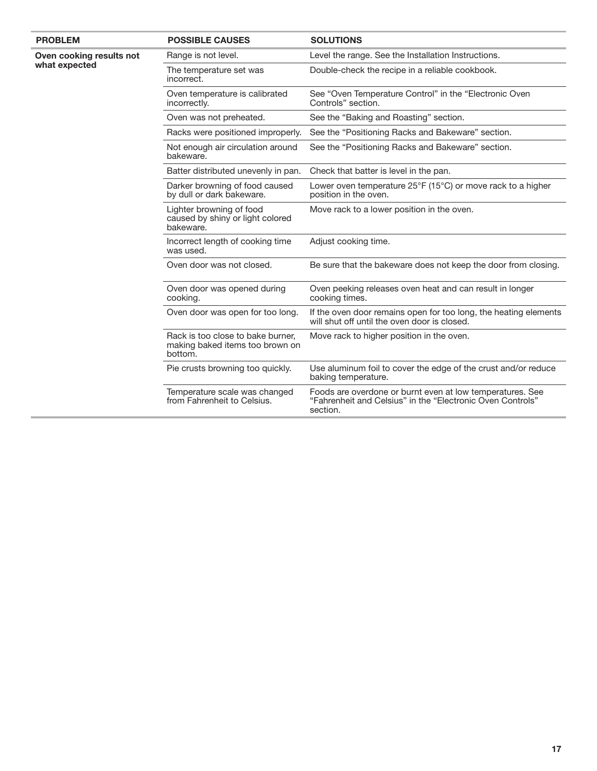| <b>PROBLEM</b>                            | <b>POSSIBLE CAUSES</b>                                                          | <b>SOLUTIONS</b>                                                                                                                    |
|-------------------------------------------|---------------------------------------------------------------------------------|-------------------------------------------------------------------------------------------------------------------------------------|
| Oven cooking results not<br>what expected | Range is not level.                                                             | Level the range. See the Installation Instructions.                                                                                 |
|                                           | The temperature set was<br>incorrect.                                           | Double-check the recipe in a reliable cookbook.                                                                                     |
|                                           | Oven temperature is calibrated<br>incorrectly.                                  | See "Oven Temperature Control" in the "Electronic Oven<br>Controls" section.                                                        |
|                                           | Oven was not preheated.                                                         | See the "Baking and Roasting" section.                                                                                              |
|                                           | Racks were positioned improperly.                                               | See the "Positioning Racks and Bakeware" section.                                                                                   |
|                                           | Not enough air circulation around<br>bakeware.                                  | See the "Positioning Racks and Bakeware" section.                                                                                   |
|                                           | Batter distributed unevenly in pan.                                             | Check that batter is level in the pan.                                                                                              |
|                                           | Darker browning of food caused<br>by dull or dark bakeware.                     | Lower oven temperature $25^{\circ}F$ (15 $^{\circ}C$ ) or move rack to a higher<br>position in the oven.                            |
|                                           | Lighter browning of food<br>caused by shiny or light colored<br>bakeware.       | Move rack to a lower position in the oven.                                                                                          |
|                                           | Incorrect length of cooking time<br>was used.                                   | Adjust cooking time.                                                                                                                |
|                                           | Oven door was not closed.                                                       | Be sure that the bakeware does not keep the door from closing.                                                                      |
|                                           | Oven door was opened during<br>cooking.                                         | Oven peeking releases oven heat and can result in longer<br>cooking times.                                                          |
|                                           | Oven door was open for too long.                                                | If the oven door remains open for too long, the heating elements<br>will shut off until the oven door is closed.                    |
|                                           | Rack is too close to bake burner,<br>making baked items too brown on<br>bottom. | Move rack to higher position in the oven.                                                                                           |
|                                           | Pie crusts browning too quickly.                                                | Use aluminum foil to cover the edge of the crust and/or reduce<br>baking temperature.                                               |
|                                           | Temperature scale was changed<br>from Fahrenheit to Celsius.                    | Foods are overdone or burnt even at low temperatures. See<br>"Fahrenheit and Celsius" in the "Electronic Oven Controls"<br>section. |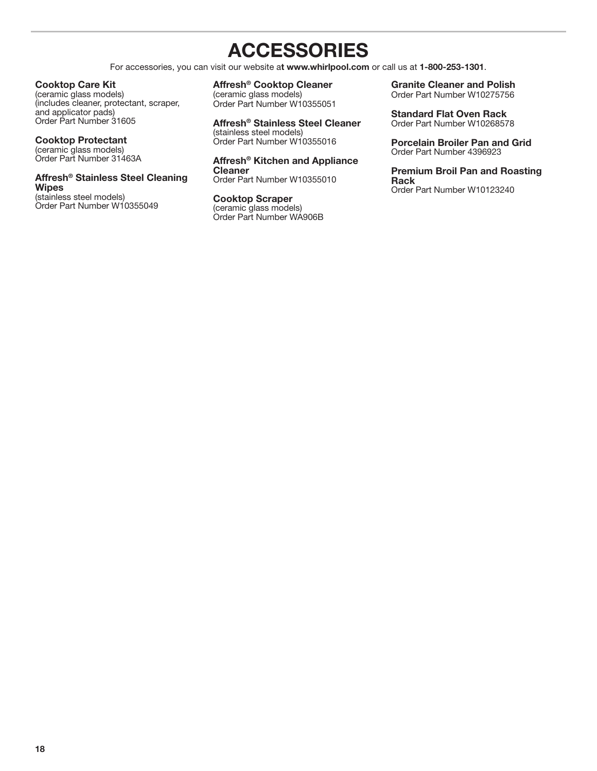## **ACCESSORIES**

For accessories, you can visit our website a**t www.whirlpool.com** or call us at **1-800-253-1301**.

#### <span id="page-17-0"></span>**Cooktop Care Kit**

(ceramic glass models) (includes cleaner, protectant, scraper, and applicator pads) Order Part Number 31605

**Cooktop Protectant** (ceramic glass models) Order Part Number 31463A

#### **Affresh® Stainless Steel Cleaning Wipes**

(stainless steel models) Order Part Number W10355049

#### **Affresh® Cooktop Cleaner**

(ceramic glass models) Order Part Number W10355051

#### **Affresh® Stainless Steel Cleaner** (stainless steel models) Order Part Number W10355016

**Affresh® Kitchen and Appliance Cleaner** Order Part Number W10355010

**Cooktop Scraper** (ceramic glass models) Order Part Number WA906B

**Granite Cleaner and Polish** Order Part Number W10275756

**Standard Flat Oven Rack** Order Part Number W10268578

**Porcelain Broiler Pan and Grid** Order Part Number 4396923

**Premium Broil Pan and Roasting Rack** Order Part Number W10123240